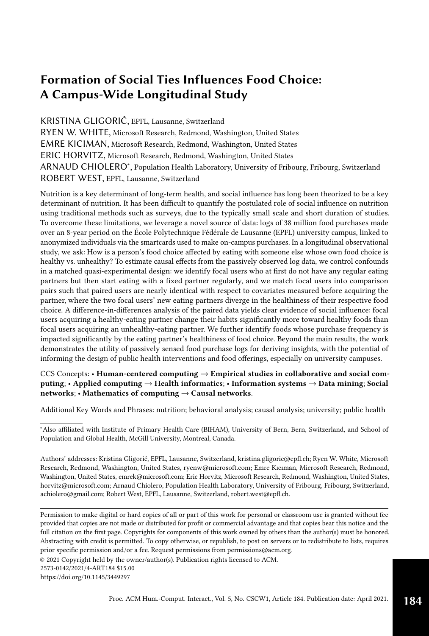# Formation of Social Ties Influences Food Choice: A Campus-Wide Longitudinal Study

KRISTINA GLIGORIĆ, EPFL, Lausanne, Switzerland

RYEN W. WHITE, Microsoft Research, Redmond, Washington, United States EMRE KICIMAN, Microsoft Research, Redmond, Washington, United States ERIC HORVITZ, Microsoft Research, Redmond, Washington, United States ARNAUD CHIOLERO<sup>\*</sup>, Population Health Laboratory, University of Fribourg, Fribourg, Switzerland ROBERT WEST, EPFL, Lausanne, Switzerland

Nutrition is a key determinant of long-term health, and social influence has long been theorized to be a key determinant of nutrition. It has been difficult to quantify the postulated role of social influence on nutrition using traditional methods such as surveys, due to the typically small scale and short duration of studies. To overcome these limitations, we leverage a novel source of data: logs of 38 million food purchases made over an 8-year period on the École Polytechnique Fédérale de Lausanne (EPFL) university campus, linked to anonymized individuals via the smartcards used to make on-campus purchases. In a longitudinal observational study, we ask: How is a person's food choice affected by eating with someone else whose own food choice is healthy vs. unhealthy? To estimate causal effects from the passively observed log data, we control confounds in a matched quasi-experimental design: we identify focal users who at first do not have any regular eating partners but then start eating with a fixed partner regularly, and we match focal users into comparison pairs such that paired users are nearly identical with respect to covariates measured before acquiring the partner, where the two focal users' new eating partners diverge in the healthiness of their respective food choice. A difference-in-differences analysis of the paired data yields clear evidence of social influence: focal users acquiring a healthy-eating partner change their habits significantly more toward healthy foods than focal users acquiring an unhealthy-eating partner. We further identify foods whose purchase frequency is impacted significantly by the eating partner's healthiness of food choice. Beyond the main results, the work demonstrates the utility of passively sensed food purchase logs for deriving insights, with the potential of informing the design of public health interventions and food offerings, especially on university campuses.

CCS Concepts: • Human-centered computing  $\rightarrow$  Empirical studies in collaborative and social computing; • Applied computing  $\rightarrow$  Health informatics; • Information systems  $\rightarrow$  Data mining; Social networks; • Mathematics of computing  $\rightarrow$  Causal networks.

Additional Key Words and Phrases: nutrition; behavioral analysis; causal analysis; university; public health

<sup>∗</sup>Also affiliated with Institute of Primary Health Care (BIHAM), University of Bern, Bern, Switzerland, and School of Population and Global Health, McGill University, Montreal, Canada.

Authors' addresses: Kristina Gligorić, EPFL, Lausanne, Switzerland, kristina.gligoric@epfl.ch; Ryen W. White, Microsoft Research, Redmond, Washington, United States, ryenw@microsoft.com; Emre Kıcıman, Microsoft Research, Redmond, Washington, United States, emrek@microsoft.com; Eric Horvitz, Microsoft Research, Redmond, Washington, United States, horvitz@microsoft.com; Arnaud Chiolero, Population Health Laboratory, University of Fribourg, Fribourg, Switzerland, achiolero@gmail.com; Robert West, EPFL, Lausanne, Switzerland, robert.west@epfl.ch.

Permission to make digital or hard copies of all or part of this work for personal or classroom use is granted without fee provided that copies are not made or distributed for profit or commercial advantage and that copies bear this notice and the full citation on the first page. Copyrights for components of this work owned by others than the author(s) must be honored. Abstracting with credit is permitted. To copy otherwise, or republish, to post on servers or to redistribute to lists, requires prior specific permission and/or a fee. Request permissions from permissions@acm.org.

© 2021 Copyright held by the owner/author(s). Publication rights licensed to ACM.

<https://doi.org/10.1145/3449297>

<sup>2573-0142/2021/4-</sup>ART184 \$15.00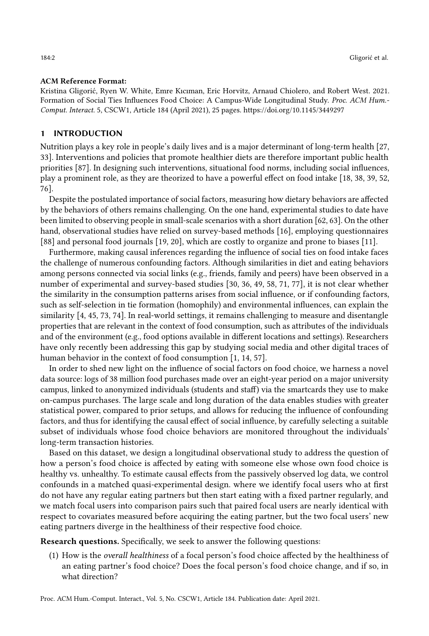#### ACM Reference Format:

Kristina Gligorić, Ryen W. White, Emre Kıcıman, Eric Horvitz, Arnaud Chiolero, and Robert West. 2021. Formation of Social Ties Influences Food Choice: A Campus-Wide Longitudinal Study. Proc. ACM Hum.- Comput. Interact. 5, CSCW1, Article 184 (April 2021), [25](#page-24-0) pages.<https://doi.org/10.1145/3449297>

## 1 INTRODUCTION

Nutrition plays a key role in people's daily lives and is a major determinant of long-term health [\[27,](#page-21-0) [33\]](#page-21-1). Interventions and policies that promote healthier diets are therefore important public health priorities [\[87\]](#page-24-1). In designing such interventions, situational food norms, including social influences, play a prominent role, as they are theorized to have a powerful effect on food intake [\[18,](#page-21-2) [38,](#page-22-0) [39,](#page-22-1) [52,](#page-22-2) [76\]](#page-23-0).

Despite the postulated importance of social factors, measuring how dietary behaviors are affected by the behaviors of others remains challenging. On the one hand, experimental studies to date have been limited to observing people in small-scale scenarios with a short duration [\[62,](#page-23-1) [63\]](#page-23-2). On the other hand, observational studies have relied on survey-based methods [\[16\]](#page-21-3), employing questionnaires [\[88\]](#page-24-2) and personal food journals [\[19,](#page-21-4) [20\]](#page-21-5), which are costly to organize and prone to biases [\[11\]](#page-20-0).

Furthermore, making causal inferences regarding the influence of social ties on food intake faces the challenge of numerous confounding factors. Although similarities in diet and eating behaviors among persons connected via social links (e.g., friends, family and peers) have been observed in a number of experimental and survey-based studies [\[30,](#page-21-6) [36,](#page-22-3) [49,](#page-22-4) [58,](#page-23-3) [71,](#page-23-4) [77\]](#page-23-5), it is not clear whether the similarity in the consumption patterns arises from social influence, or if confounding factors, such as self-selection in tie formation (homophily) and environmental influences, can explain the similarity [\[4,](#page-20-1) [45,](#page-22-5) [73,](#page-23-6) [74\]](#page-23-7). In real-world settings, it remains challenging to measure and disentangle properties that are relevant in the context of food consumption, such as attributes of the individuals and of the environment (e.g., food options available in different locations and settings). Researchers have only recently been addressing this gap by studying social media and other digital traces of human behavior in the context of food consumption [\[1,](#page-20-2) [14,](#page-21-7) [57\]](#page-22-6).

In order to shed new light on the influence of social factors on food choice, we harness a novel data source: logs of 38 million food purchases made over an eight-year period on a major university campus, linked to anonymized individuals (students and staff) via the smartcards they use to make on-campus purchases. The large scale and long duration of the data enables studies with greater statistical power, compared to prior setups, and allows for reducing the influence of confounding factors, and thus for identifying the causal effect of social influence, by carefully selecting a suitable subset of individuals whose food choice behaviors are monitored throughout the individuals' long-term transaction histories.

Based on this dataset, we design a longitudinal observational study to address the question of how a person's food choice is affected by eating with someone else whose own food choice is healthy vs. unhealthy. To estimate causal effects from the passively observed log data, we control confounds in a matched quasi-experimental design. where we identify focal users who at first do not have any regular eating partners but then start eating with a fixed partner regularly, and we match focal users into comparison pairs such that paired focal users are nearly identical with respect to covariates measured before acquiring the eating partner, but the two focal users' new eating partners diverge in the healthiness of their respective food choice.

Research questions. Specifically, we seek to answer the following questions:

(1) How is the overall healthiness of a focal person's food choice affected by the healthiness of an eating partner's food choice? Does the focal person's food choice change, and if so, in what direction?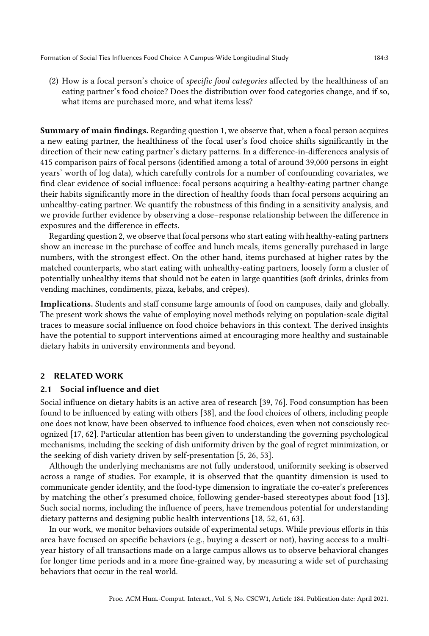- 
- (2) How is a focal person's choice of specific food categories affected by the healthiness of an eating partner's food choice? Does the distribution over food categories change, and if so, what items are purchased more, and what items less?

Summary of main findings. Regarding question 1, we observe that, when a focal person acquires a new eating partner, the healthiness of the focal user's food choice shifts significantly in the direction of their new eating partner's dietary patterns. In a difference-in-differences analysis of 415 comparison pairs of focal persons (identified among a total of around 39,000 persons in eight years' worth of log data), which carefully controls for a number of confounding covariates, we find clear evidence of social influence: focal persons acquiring a healthy-eating partner change their habits significantly more in the direction of healthy foods than focal persons acquiring an unhealthy-eating partner. We quantify the robustness of this finding in a sensitivity analysis, and we provide further evidence by observing a dose–response relationship between the difference in exposures and the difference in effects.

Regarding question 2, we observe that focal persons who start eating with healthy-eating partners show an increase in the purchase of coffee and lunch meals, items generally purchased in large numbers, with the strongest effect. On the other hand, items purchased at higher rates by the matched counterparts, who start eating with unhealthy-eating partners, loosely form a cluster of potentially unhealthy items that should not be eaten in large quantities (soft drinks, drinks from vending machines, condiments, pizza, kebabs, and crêpes).

Implications. Students and staff consume large amounts of food on campuses, daily and globally. The present work shows the value of employing novel methods relying on population-scale digital traces to measure social influence on food choice behaviors in this context. The derived insights have the potential to support interventions aimed at encouraging more healthy and sustainable dietary habits in university environments and beyond.

# 2 RELATED WORK

#### 2.1 Social influence and diet

Social influence on dietary habits is an active area of research [\[39,](#page-22-1) [76\]](#page-23-0). Food consumption has been found to be influenced by eating with others [\[38\]](#page-22-0), and the food choices of others, including people one does not know, have been observed to influence food choices, even when not consciously recognized [\[17,](#page-21-8) [62\]](#page-23-1). Particular attention has been given to understanding the governing psychological mechanisms, including the seeking of dish uniformity driven by the goal of regret minimization, or the seeking of dish variety driven by self-presentation [\[5,](#page-20-3) [26,](#page-21-9) [53\]](#page-22-7).

Although the underlying mechanisms are not fully understood, uniformity seeking is observed across a range of studies. For example, it is observed that the quantity dimension is used to communicate gender identity, and the food-type dimension to ingratiate the co-eater's preferences by matching the other's presumed choice, following gender-based stereotypes about food [\[13\]](#page-21-10). Such social norms, including the influence of peers, have tremendous potential for understanding dietary patterns and designing public health interventions [\[18,](#page-21-2) [52,](#page-22-2) [61,](#page-23-8) [63\]](#page-23-2).

In our work, we monitor behaviors outside of experimental setups. While previous efforts in this area have focused on specific behaviors (e.g., buying a dessert or not), having access to a multiyear history of all transactions made on a large campus allows us to observe behavioral changes for longer time periods and in a more fine-grained way, by measuring a wide set of purchasing behaviors that occur in the real world.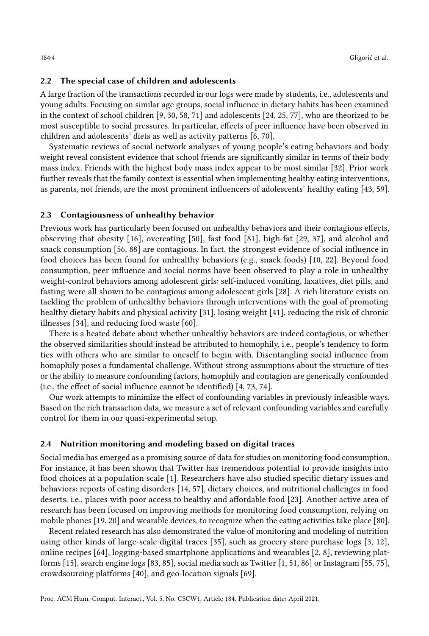### 2.2 The special case of children and adolescents

A large fraction of the transactions recorded in our logs were made by students, i.e., adolescents and young adults. Focusing on similar age groups, social influence in dietary habits has been examined in the context of school children [\[9,](#page-20-4) [30,](#page-21-6) [58,](#page-23-3) [71\]](#page-23-4) and adolescents [\[24,](#page-21-11) [25,](#page-21-12) [77\]](#page-23-5), who are theorized to be most susceptible to social pressures. In particular, effects of peer influence have been observed in children and adolescents' diets as well as activity patterns [\[6,](#page-20-5) [70\]](#page-23-9).

Systematic reviews of social network analyses of young people's eating behaviors and body weight reveal consistent evidence that school friends are significantly similar in terms of their body mass index. Friends with the highest body mass index appear to be most similar [\[32\]](#page-21-13). Prior work further reveals that the family context is essential when implementing healthy eating interventions, as parents, not friends, are the most prominent influencers of adolescents' healthy eating [\[43,](#page-22-8) [59\]](#page-23-10).

#### 2.3 Contagiousness of unhealthy behavior

Previous work has particularly been focused on unhealthy behaviors and their contagious effects, observing that obesity [\[16\]](#page-21-3), overeating [\[50\]](#page-22-9), fast food [\[81\]](#page-23-11), high-fat [\[29,](#page-21-14) [37\]](#page-22-10), and alcohol and snack consumption [\[56,](#page-22-11) [88\]](#page-24-2) are contagious. In fact, the strongest evidence of social influence in food choices has been found for unhealthy behaviors (e.g., snack foods) [\[10,](#page-20-6) [22\]](#page-21-15). Beyond food consumption, peer influence and social norms have been observed to play a role in unhealthy weight-control behaviors among adolescent girls: self-induced vomiting, laxatives, diet pills, and fasting were all shown to be contagious among adolescent girls [\[28\]](#page-21-16). A rich literature exists on tackling the problem of unhealthy behaviors through interventions with the goal of promoting healthy dietary habits and physical activity [\[31\]](#page-21-17), losing weight [\[41\]](#page-22-12), reducing the risk of chronic illnesses [\[34\]](#page-22-13), and reducing food waste [\[60\]](#page-23-12).

There is a heated debate about whether unhealthy behaviors are indeed contagious, or whether the observed similarities should instead be attributed to homophily, i.e., people's tendency to form ties with others who are similar to oneself to begin with. Disentangling social influence from homophily poses a fundamental challenge. Without strong assumptions about the structure of ties or the ability to measure confounding factors, homophily and contagion are generically confounded (i.e., the effect of social influence cannot be identified) [\[4,](#page-20-1) [73,](#page-23-6) [74\]](#page-23-7).

Our work attempts to minimize the effect of confounding variables in previously infeasible ways. Based on the rich transaction data, we measure a set of relevant confounding variables and carefully control for them in our quasi-experimental setup.

#### 2.4 Nutrition monitoring and modeling based on digital traces

Social media has emerged as a promising source of data for studies on monitoring food consumption. For instance, it has been shown that Twitter has tremendous potential to provide insights into food choices at a population scale [\[1\]](#page-20-2). Researchers have also studied specific dietary issues and behaviors: reports of eating disorders [\[14,](#page-21-7) [57\]](#page-22-6), dietary choices, and nutritional challenges in food deserts, i.e., places with poor access to healthy and affordable food [\[23\]](#page-21-18). Another active area of research has been focused on improving methods for monitoring food consumption, relying on mobile phones [\[19,](#page-21-4) [20\]](#page-21-5) and wearable devices, to recognize when the eating activities take place [\[80\]](#page-23-13).

Recent related research has also demonstrated the value of monitoring and modeling of nutrition using other kinds of large-scale digital traces [\[35\]](#page-22-14), such as grocery store purchase logs [\[3,](#page-20-7) [12\]](#page-21-19), online recipes [\[64\]](#page-23-14), logging-based smartphone applications and wearables [\[2,](#page-20-8) [8\]](#page-20-9), reviewing platforms [\[15\]](#page-21-20), search engine logs [\[83,](#page-24-3) [85\]](#page-24-4), social media such as Twitter [\[1,](#page-20-2) [51,](#page-22-15) [86\]](#page-24-5) or Instagram [\[55,](#page-22-16) [75\]](#page-23-15), crowdsourcing platforms [\[40\]](#page-22-17), and geo-location signals [\[69\]](#page-23-16).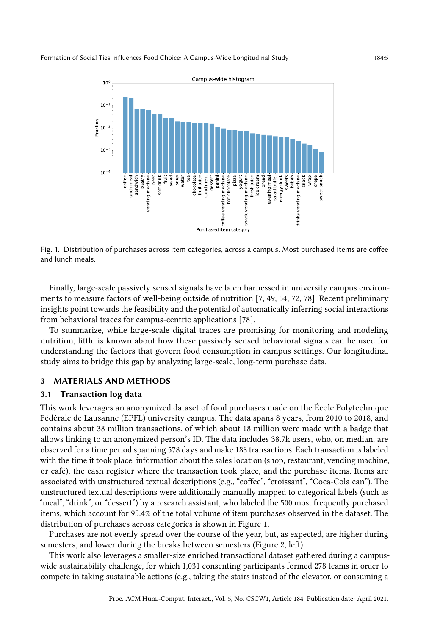<span id="page-4-0"></span>

Fig. 1. Distribution of purchases across item categories, across a campus. Most purchased items are coffee and lunch meals.

Finally, large-scale passively sensed signals have been harnessed in university campus environments to measure factors of well-being outside of nutrition [\[7,](#page-20-10) [49,](#page-22-4) [54,](#page-22-18) [72,](#page-23-17) [78\]](#page-23-18). Recent preliminary insights point towards the feasibility and the potential of automatically inferring social interactions from behavioral traces for campus-centric applications [\[78\]](#page-23-18).

To summarize, while large-scale digital traces are promising for monitoring and modeling nutrition, little is known about how these passively sensed behavioral signals can be used for understanding the factors that govern food consumption in campus settings. Our longitudinal study aims to bridge this gap by analyzing large-scale, long-term purchase data.

### 3 MATERIALS AND METHODS

#### <span id="page-4-1"></span>3.1 Transaction log data

This work leverages an anonymized dataset of food purchases made on the École Polytechnique Fédérale de Lausanne (EPFL) university campus. The data spans 8 years, from 2010 to 2018, and contains about 38 million transactions, of which about 18 million were made with a badge that allows linking to an anonymized person's ID. The data includes 38.7k users, who, on median, are observed for a time period spanning 578 days and make 188 transactions. Each transaction is labeled with the time it took place, information about the sales location (shop, restaurant, vending machine, or café), the cash register where the transaction took place, and the purchase items. Items are associated with unstructured textual descriptions (e.g., "coffee", "croissant", "Coca-Cola can"). The unstructured textual descriptions were additionally manually mapped to categorical labels (such as "meal", "drink", or "dessert") by a research assistant, who labeled the 500 most frequently purchased items, which account for 95.4% of the total volume of item purchases observed in the dataset. The distribution of purchases across categories is shown in Figure [1.](#page-4-0)

Purchases are not evenly spread over the course of the year, but, as expected, are higher during semesters, and lower during the breaks between semesters (Figure [2,](#page-5-0) left).

This work also leverages a smaller-size enriched transactional dataset gathered during a campuswide sustainability challenge, for which 1,031 consenting participants formed 278 teams in order to compete in taking sustainable actions (e.g., taking the stairs instead of the elevator, or consuming a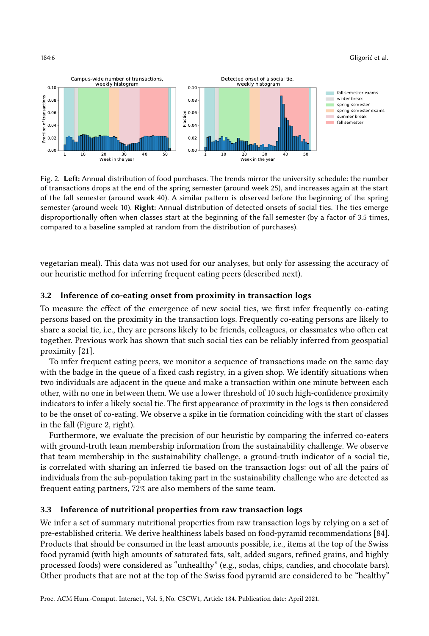<span id="page-5-0"></span>

Fig. 2. Left: Annual distribution of food purchases. The trends mirror the university schedule: the number of transactions drops at the end of the spring semester (around week 25), and increases again at the start of the fall semester (around week 40). A similar pattern is observed before the beginning of the spring semester (around week 10). Right: Annual distribution of detected onsets of social ties. The ties emerge disproportionally often when classes start at the beginning of the fall semester (by a factor of 3.5 times, compared to a baseline sampled at random from the distribution of purchases).

vegetarian meal). This data was not used for our analyses, but only for assessing the accuracy of our heuristic method for inferring frequent eating peers (described next).

## <span id="page-5-1"></span>3.2 Inference of co-eating onset from proximity in transaction logs

To measure the effect of the emergence of new social ties, we first infer frequently co-eating persons based on the proximity in the transaction logs. Frequently co-eating persons are likely to share a social tie, i.e., they are persons likely to be friends, colleagues, or classmates who often eat together. Previous work has shown that such social ties can be reliably inferred from geospatial proximity [\[21\]](#page-21-21).

To infer frequent eating peers, we monitor a sequence of transactions made on the same day with the badge in the queue of a fixed cash registry, in a given shop. We identify situations when two individuals are adjacent in the queue and make a transaction within one minute between each other, with no one in between them. We use a lower threshold of 10 such high-confidence proximity indicators to infer a likely social tie. The first appearance of proximity in the logs is then considered to be the onset of co-eating. We observe a spike in tie formation coinciding with the start of classes in the fall (Figure [2,](#page-5-0) right).

Furthermore, we evaluate the precision of our heuristic by comparing the inferred co-eaters with ground-truth team membership information from the sustainability challenge. We observe that team membership in the sustainability challenge, a ground-truth indicator of a social tie, is correlated with sharing an inferred tie based on the transaction logs: out of all the pairs of individuals from the sub-population taking part in the sustainability challenge who are detected as frequent eating partners, 72% are also members of the same team.

## 3.3 Inference of nutritional properties from raw transaction logs

We infer a set of summary nutritional properties from raw transaction logs by relying on a set of pre-established criteria. We derive healthiness labels based on food-pyramid recommendations [\[84\]](#page-24-6). Products that should be consumed in the least amounts possible, i.e., items at the top of the Swiss food pyramid (with high amounts of saturated fats, salt, added sugars, refined grains, and highly processed foods) were considered as "unhealthy" (e.g., sodas, chips, candies, and chocolate bars). Other products that are not at the top of the Swiss food pyramid are considered to be "healthy"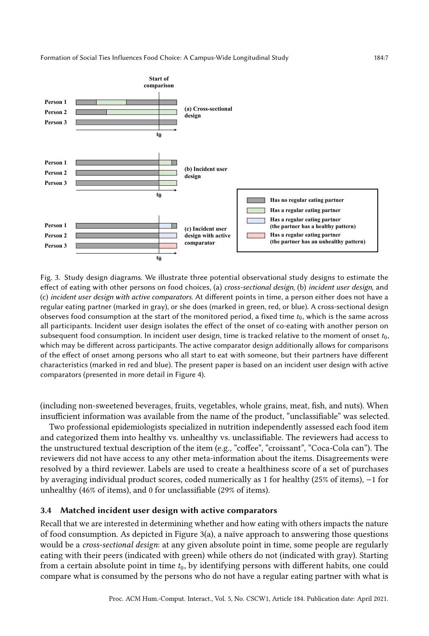<span id="page-6-0"></span>

Fig. 3. Study design diagrams. We illustrate three potential observational study designs to estimate the effect of eating with other persons on food choices, (a) cross-sectional design, (b) incident user design, and (c) incident user design with active comparators. At different points in time, a person either does not have a regular eating partner (marked in gray), or she does (marked in green, red, or blue). A cross-sectional design observes food consumption at the start of the monitored period, a fixed time  $t_0$ , which is the same across all participants. Incident user design isolates the effect of the onset of co-eating with another person on subsequent food consumption. In incident user design, time is tracked relative to the moment of onset  $t_0$ , which may be different across participants. The active comparator design additionally allows for comparisons of the effect of onset among persons who all start to eat with someone, but their partners have different characteristics (marked in red and blue). The present paper is based on an incident user design with active comparators (presented in more detail in Figure [4\)](#page-7-0).

(including non-sweetened beverages, fruits, vegetables, whole grains, meat, fish, and nuts). When insufficient information was available from the name of the product, "unclassifiable" was selected.

Two professional epidemiologists specialized in nutrition independently assessed each food item and categorized them into healthy vs. unhealthy vs. unclassifiable. The reviewers had access to the unstructured textual description of the item (e.g., "coffee", "croissant", "Coca-Cola can"). The reviewers did not have access to any other meta-information about the items. Disagreements were resolved by a third reviewer. Labels are used to create a healthiness score of a set of purchases by averaging individual product scores, coded numerically as 1 for healthy (25% of items), −1 for unhealthy (46% of items), and 0 for unclassifiable (29% of items).

#### 3.4 Matched incident user design with active comparators

Recall that we are interested in determining whether and how eating with others impacts the nature of food consumption. As depicted in Figure [3\(](#page-6-0)a), a naïve approach to answering those questions would be a *cross-sectional design*: at any given absolute point in time, some people are regularly eating with their peers (indicated with green) while others do not (indicated with gray). Starting from a certain absolute point in time  $t_0$ , by identifying persons with different habits, one could compare what is consumed by the persons who do not have a regular eating partner with what is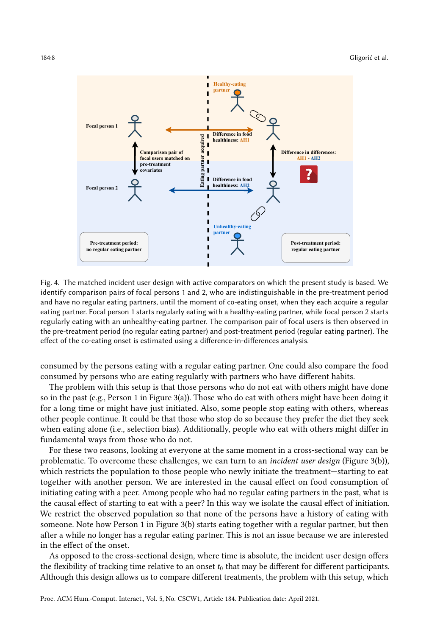<span id="page-7-0"></span>

Fig. 4. The matched incident user design with active comparators on which the present study is based. We identify comparison pairs of focal persons 1 and 2, who are indistinguishable in the pre-treatment period and have no regular eating partners, until the moment of co-eating onset, when they each acquire a regular eating partner. Focal person 1 starts regularly eating with a healthy-eating partner, while focal person 2 starts regularly eating with an unhealthy-eating partner. The comparison pair of focal users is then observed in the pre-treatment period (no regular eating partner) and post-treatment period (regular eating partner). The effect of the co-eating onset is estimated using a difference-in-differences analysis.

consumed by the persons eating with a regular eating partner. One could also compare the food consumed by persons who are eating regularly with partners who have different habits.

The problem with this setup is that those persons who do not eat with others might have done so in the past (e.g., Person 1 in Figure [3\(](#page-6-0)a)). Those who do eat with others might have been doing it for a long time or might have just initiated. Also, some people stop eating with others, whereas other people continue. It could be that those who stop do so because they prefer the diet they seek when eating alone (i.e., selection bias). Additionally, people who eat with others might differ in fundamental ways from those who do not.

For these two reasons, looking at everyone at the same moment in a cross-sectional way can be problematic. To overcome these challenges, we can turn to an incident user design (Figure [3\(](#page-6-0)b)), which restricts the population to those people who newly initiate the treatment—starting to eat together with another person. We are interested in the causal effect on food consumption of initiating eating with a peer. Among people who had no regular eating partners in the past, what is the causal effect of starting to eat with a peer? In this way we isolate the causal effect of initiation. We restrict the observed population so that none of the persons have a history of eating with someone. Note how Person 1 in Figure [3\(](#page-6-0)b) starts eating together with a regular partner, but then after a while no longer has a regular eating partner. This is not an issue because we are interested in the effect of the onset.

As opposed to the cross-sectional design, where time is absolute, the incident user design offers the flexibility of tracking time relative to an onset  $t_0$  that may be different for different participants. Although this design allows us to compare different treatments, the problem with this setup, which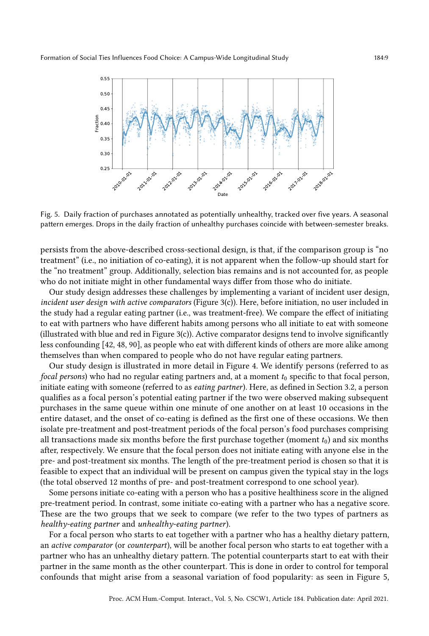<span id="page-8-0"></span>

Fig. 5. Daily fraction of purchases annotated as potentially unhealthy, tracked over five years. A seasonal pattern emerges. Drops in the daily fraction of unhealthy purchases coincide with between-semester breaks.

persists from the above-described cross-sectional design, is that, if the comparison group is "no treatment" (i.e., no initiation of co-eating), it is not apparent when the follow-up should start for the "no treatment" group. Additionally, selection bias remains and is not accounted for, as people who do not initiate might in other fundamental ways differ from those who do initiate.

Our study design addresses these challenges by implementing a variant of incident user design, incident user design with active comparators (Figure [3\(](#page-6-0)c)). Here, before initiation, no user included in the study had a regular eating partner (i.e., was treatment-free). We compare the effect of initiating to eat with partners who have different habits among persons who all initiate to eat with someone (illustrated with blue and red in Figure [3\(](#page-6-0)c)). Active comparator designs tend to involve significantly less confounding [\[42,](#page-22-19) [48,](#page-22-20) [90\]](#page-24-7), as people who eat with different kinds of others are more alike among themselves than when compared to people who do not have regular eating partners.

Our study design is illustrated in more detail in Figure [4.](#page-7-0) We identify persons (referred to as focal persons) who had no regular eating partners and, at a moment  $t_0$  specific to that focal person, initiate eating with someone (referred to as eating partner). Here, as defined in Section [3.2,](#page-5-1) a person qualifies as a focal person's potential eating partner if the two were observed making subsequent purchases in the same queue within one minute of one another on at least 10 occasions in the entire dataset, and the onset of co-eating is defined as the first one of these occasions. We then isolate pre-treatment and post-treatment periods of the focal person's food purchases comprising all transactions made six months before the first purchase together (moment  $t_0$ ) and six months after, respectively. We ensure that the focal person does not initiate eating with anyone else in the pre- and post-treatment six months. The length of the pre-treatment period is chosen so that it is feasible to expect that an individual will be present on campus given the typical stay in the logs (the total observed 12 months of pre- and post-treatment correspond to one school year).

Some persons initiate co-eating with a person who has a positive healthiness score in the aligned pre-treatment period. In contrast, some initiate co-eating with a partner who has a negative score. These are the two groups that we seek to compare (we refer to the two types of partners as healthy-eating partner and unhealthy-eating partner).

For a focal person who starts to eat together with a partner who has a healthy dietary pattern, an active comparator (or counterpart), will be another focal person who starts to eat together with a partner who has an unhealthy dietary pattern. The potential counterparts start to eat with their partner in the same month as the other counterpart. This is done in order to control for temporal confounds that might arise from a seasonal variation of food popularity: as seen in Figure [5,](#page-8-0)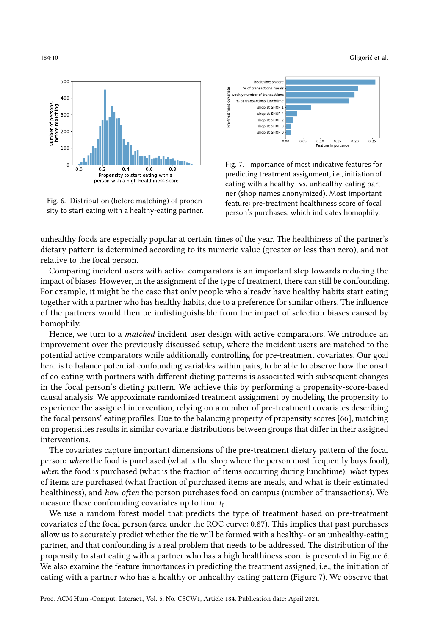184:10 Gligorić et al.

<span id="page-9-0"></span>

Fig. 6. Distribution (before matching) of propensity to start eating with a healthy-eating partner.



Fig. 7. Importance of most indicative features for predicting treatment assignment, i.e., initiation of eating with a healthy- vs. unhealthy-eating partner (shop names anonymized). Most important feature: pre-treatment healthiness score of focal person's purchases, which indicates homophily.

unhealthy foods are especially popular at certain times of the year. The healthiness of the partner's dietary pattern is determined according to its numeric value (greater or less than zero), and not relative to the focal person.

Comparing incident users with active comparators is an important step towards reducing the impact of biases. However, in the assignment of the type of treatment, there can still be confounding. For example, it might be the case that only people who already have healthy habits start eating together with a partner who has healthy habits, due to a preference for similar others. The influence of the partners would then be indistinguishable from the impact of selection biases caused by homophily.

Hence, we turn to a matched incident user design with active comparators. We introduce an improvement over the previously discussed setup, where the incident users are matched to the potential active comparators while additionally controlling for pre-treatment covariates. Our goal here is to balance potential confounding variables within pairs, to be able to observe how the onset of co-eating with partners with different dieting patterns is associated with subsequent changes in the focal person's dieting pattern. We achieve this by performing a propensity-score-based causal analysis. We approximate randomized treatment assignment by modeling the propensity to experience the assigned intervention, relying on a number of pre-treatment covariates describing the focal persons' eating profiles. Due to the balancing property of propensity scores [\[66\]](#page-23-19), matching on propensities results in similar covariate distributions between groups that differ in their assigned interventions.

The covariates capture important dimensions of the pre-treatment dietary pattern of the focal person: where the food is purchased (what is the shop where the person most frequently buys food), when the food is purchased (what is the fraction of items occurring during lunchtime), what types of items are purchased (what fraction of purchased items are meals, and what is their estimated healthiness), and how often the person purchases food on campus (number of transactions). We measure these confounding covariates up to time  $t_0$ .

We use a random forest model that predicts the type of treatment based on pre-treatment covariates of the focal person (area under the ROC curve: 0.87). This implies that past purchases allow us to accurately predict whether the tie will be formed with a healthy- or an unhealthy-eating partner, and that confounding is a real problem that needs to be addressed. The distribution of the propensity to start eating with a partner who has a high healthiness score is presented in Figure [6.](#page-9-0) We also examine the feature importances in predicting the treatment assigned, i.e., the initiation of eating with a partner who has a healthy or unhealthy eating pattern (Figure [7\)](#page-9-0). We observe that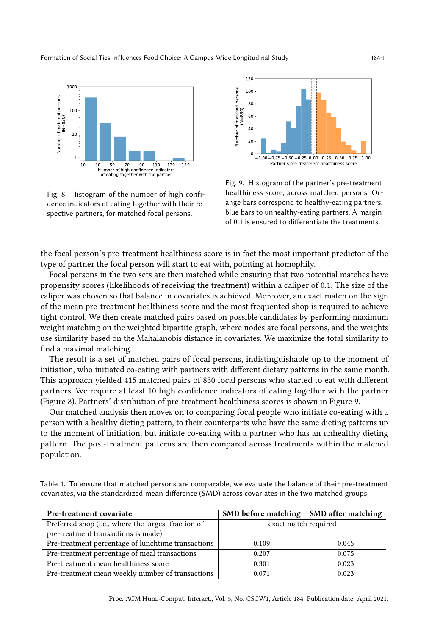Formation of Social Ties Influences Food Choice: A Campus-Wide Longitudinal Study 184:11

<span id="page-10-0"></span>

Fig. 8. Histogram of the number of high confidence indicators of eating together with their respective partners, for matched focal persons.



Fig. 9. Histogram of the partner's pre-treatment healthiness score, across matched persons. Orange bars correspond to healthy-eating partners, blue bars to unhealthy-eating partners. A margin of 0.1 is ensured to differentiate the treatments.

the focal person's pre-treatment healthiness score is in fact the most important predictor of the type of partner the focal person will start to eat with, pointing at homophily.

Focal persons in the two sets are then matched while ensuring that two potential matches have propensity scores (likelihoods of receiving the treatment) within a caliper of 0.1. The size of the caliper was chosen so that balance in covariates is achieved. Moreover, an exact match on the sign of the mean pre-treatment healthiness score and the most frequented shop is required to achieve tight control. We then create matched pairs based on possible candidates by performing maximum weight matching on the weighted bipartite graph, where nodes are focal persons, and the weights use similarity based on the Mahalanobis distance in covariates. We maximize the total similarity to find a maximal matching.

The result is a set of matched pairs of focal persons, indistinguishable up to the moment of initiation, who initiated co-eating with partners with different dietary patterns in the same month. This approach yielded 415 matched pairs of 830 focal persons who started to eat with different partners. We require at least 10 high confidence indicators of eating together with the partner (Figure [8\)](#page-10-0). Partners' distribution of pre-treatment healthiness scores is shown in Figure [9.](#page-10-0)

Our matched analysis then moves on to comparing focal people who initiate co-eating with a person with a healthy dieting pattern, to their counterparts who have the same dieting patterns up to the moment of initiation, but initiate co-eating with a partner who has an unhealthy dieting pattern. The post-treatment patterns are then compared across treatments within the matched population.

<span id="page-10-1"></span>Table 1. To ensure that matched persons are comparable, we evaluate the balance of their pre-treatment covariates, via the standardized mean difference (SMD) across covariates in the two matched groups.

| Pre-treatment covariate                             | SMD before matching   SMD after matching |       |
|-----------------------------------------------------|------------------------------------------|-------|
| Preferred shop (i.e., where the largest fraction of | exact match required                     |       |
| pre-treatment transactions is made)                 |                                          |       |
| Pre-treatment percentage of lunchtime transactions  | 0.109                                    | 0.045 |
| Pre-treatment percentage of meal transactions       | 0.207                                    | 0.075 |
| Pre-treatment mean healthiness score                | 0.301                                    | 0.023 |
| Pre-treatment mean weekly number of transactions    | 0.071                                    | 0.023 |

Proc. ACM Hum.-Comput. Interact., Vol. 5, No. CSCW1, Article 184. Publication date: April 2021.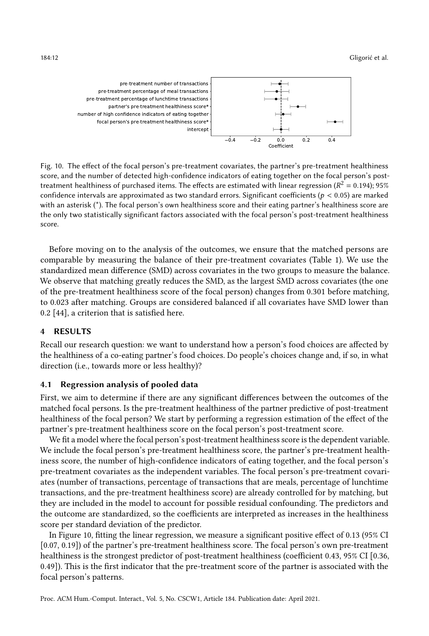<span id="page-11-0"></span>

Fig. 10. The effect of the focal person's pre-treatment covariates, the partner's pre-treatment healthiness score, and the number of detected high-confidence indicators of eating together on the focal person's posttreatment healthiness of purchased items. The effects are estimated with linear regression ( $R^2$  = 0.194); 95% confidence intervals are approximated as two standard errors. Significant coefficients ( $p < 0.05$ ) are marked with an asterisk (\*). The focal person's own healthiness score and their eating partner's healthiness score are the only two statistically significant factors associated with the focal person's post-treatment healthiness score.

Before moving on to the analysis of the outcomes, we ensure that the matched persons are comparable by measuring the balance of their pre-treatment covariates (Table [1\)](#page-10-1). We use the standardized mean difference (SMD) across covariates in the two groups to measure the balance. We observe that matching greatly reduces the SMD, as the largest SMD across covariates (the one of the pre-treatment healthiness score of the focal person) changes from 0.301 before matching, to 0.023 after matching. Groups are considered balanced if all covariates have SMD lower than 0.2 [\[44\]](#page-22-21), a criterion that is satisfied here.

## **RESULTS**

Recall our research question: we want to understand how a person's food choices are affected by the healthiness of a co-eating partner's food choices. Do people's choices change and, if so, in what direction (i.e., towards more or less healthy)?

## 4.1 Regression analysis of pooled data

First, we aim to determine if there are any significant differences between the outcomes of the matched focal persons. Is the pre-treatment healthiness of the partner predictive of post-treatment healthiness of the focal person? We start by performing a regression estimation of the effect of the partner's pre-treatment healthiness score on the focal person's post-treatment score.

We fit a model where the focal person's post-treatment healthiness score is the dependent variable. We include the focal person's pre-treatment healthiness score, the partner's pre-treatment healthiness score, the number of high-confidence indicators of eating together, and the focal person's pre-treatment covariates as the independent variables. The focal person's pre-treatment covariates (number of transactions, percentage of transactions that are meals, percentage of lunchtime transactions, and the pre-treatment healthiness score) are already controlled for by matching, but they are included in the model to account for possible residual confounding. The predictors and the outcome are standardized, so the coefficients are interpreted as increases in the healthiness score per standard deviation of the predictor.

In Figure [10,](#page-11-0) fitting the linear regression, we measure a significant positive effect of 0.13 (95% CI [0.07, 0.19]) of the partner's pre-treatment healthiness score. The focal person's own pre-treatment healthiness is the strongest predictor of post-treatment healthiness (coefficient 0.43, 95% CI [0.36, 0.49]). This is the first indicator that the pre-treatment score of the partner is associated with the focal person's patterns.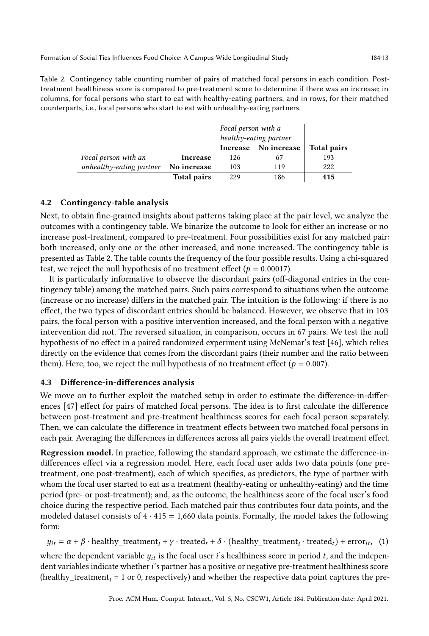<span id="page-12-0"></span>Table 2. Contingency table counting number of pairs of matched focal persons in each condition. Posttreatment healthiness score is compared to pre-treatment score to determine if there was an increase; in columns, for focal persons who start to eat with healthy-eating partners, and in rows, for their matched counterparts, i.e., focal persons who start to eat with unhealthy-eating partners.

|                          |                    | Focal person with a<br>healthy-eating partner |                    |                    |
|--------------------------|--------------------|-----------------------------------------------|--------------------|--------------------|
|                          |                    |                                               |                    |                    |
|                          |                    | <b>Increase</b>                               | <b>No increase</b> | <b>Total pairs</b> |
| Focal person with an     | Increase           | 126                                           |                    | 193                |
| unhealthy-eating partner | No increase        | 103                                           | 119                | 222                |
|                          | <b>Total pairs</b> | 229                                           | 186                | 415                |

## 4.2 Contingency-table analysis

Next, to obtain fine-grained insights about patterns taking place at the pair level, we analyze the outcomes with a contingency table. We binarize the outcome to look for either an increase or no increase post-treatment, compared to pre-treatment. Four possibilities exist for any matched pair: both increased, only one or the other increased, and none increased. The contingency table is presented as Table [2.](#page-12-0) The table counts the frequency of the four possible results. Using a chi-squared test, we reject the null hypothesis of no treatment effect ( $p = 0.00017$ ).

It is particularly informative to observe the discordant pairs (off-diagonal entries in the contingency table) among the matched pairs. Such pairs correspond to situations when the outcome (increase or no increase) differs in the matched pair. The intuition is the following: if there is no effect, the two types of discordant entries should be balanced. However, we observe that in 103 pairs, the focal person with a positive intervention increased, and the focal person with a negative intervention did not. The reversed situation, in comparison, occurs in 67 pairs. We test the null hypothesis of no effect in a paired randomized experiment using McNemar's test [\[46\]](#page-22-22), which relies directly on the evidence that comes from the discordant pairs (their number and the ratio between them). Here, too, we reject the null hypothesis of no treatment effect ( $p = 0.007$ ).

## 4.3 Difference-in-differences analysis

We move on to further exploit the matched setup in order to estimate the difference-in-differences [\[47\]](#page-22-23) effect for pairs of matched focal persons. The idea is to first calculate the difference between post-treatment and pre-treatment healthiness scores for each focal person separately. Then, we can calculate the difference in treatment effects between two matched focal persons in each pair. Averaging the differences in differences across all pairs yields the overall treatment effect.

Regression model. In practice, following the standard approach, we estimate the difference-indifferences effect via a regression model. Here, each focal user adds two data points (one pretreatment, one post-treatment), each of which specifies, as predictors, the type of partner with whom the focal user started to eat as a treatment (healthy-eating or unhealthy-eating) and the time period (pre- or post-treatment); and, as the outcome, the healthiness score of the focal user's food choice during the respective period. Each matched pair thus contributes four data points, and the modeled dataset consists of  $4 \cdot 415 = 1,660$  data points. Formally, the model takes the following form:

<span id="page-12-1"></span> $y_{it} = \alpha + \beta \cdot \text{health}y_{it}$  treatment<sub>i</sub> +  $\gamma \cdot \text{treated}_t + \delta \cdot (\text{health}y_{it} + \text{reatment}_i \cdot \text{treated}_t) + \text{error}_{it},$  (1)

where the dependent variable  $y_{it}$  is the focal user i's healthiness score in period t, and the independent variables indicate whether i's partner has a positive or negative pre-treatment healthiness score (healthy\_treatment $_i = 1$  or 0, respectively) and whether the respective data point captures the pre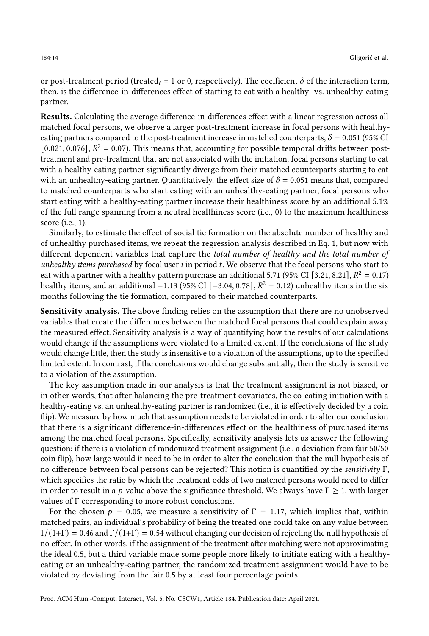or post-treatment period (treated<sub>t</sub> = 1 or 0, respectively). The coefficient  $\delta$  of the interaction term, then, is the difference-in-differences effect of starting to eat with a healthy- vs. unhealthy-eating partner.

Results. Calculating the average difference-in-differences effect with a linear regression across all matched focal persons, we observe a larger post-treatment increase in focal persons with healthyeating partners compared to the post-treatment increase in matched counterparts,  $\delta = 0.051$  (95% CI) [0.021, 0.076],  $R^2 = 0.07$ ). This means that, accounting for possible temporal drifts between posttreatment and pre-treatment that are not associated with the initiation, focal persons starting to eat with a healthy-eating partner significantly diverge from their matched counterparts starting to eat with an unhealthy-eating partner. Quantitatively, the effect size of  $\delta = 0.051$  means that, compared to matched counterparts who start eating with an unhealthy-eating partner, focal persons who start eating with a healthy-eating partner increase their healthiness score by an additional 5.1% of the full range spanning from a neutral healthiness score (i.e., 0) to the maximum healthiness score (i.e., 1).

Similarly, to estimate the effect of social tie formation on the absolute number of healthy and of unhealthy purchased items, we repeat the regression analysis described in Eq. [1,](#page-12-1) but now with different dependent variables that capture the *total number of healthy and the total number of* unhealthy items purchased by focal user  $i$  in period  $t$ . We observe that the focal persons who start to eat with a partner with a healthy pattern purchase an additional 5.71 (95% CI [3.21, 8.21],  $R^2 = 0.17$ ) healthy items, and an additional −1.13 (95% CI [−3.04, 0.78],  $R^2 = 0.12$ ) unhealthy items in the six months following the tie formation, compared to their matched counterparts.

Sensitivity analysis. The above finding relies on the assumption that there are no unobserved variables that create the differences between the matched focal persons that could explain away the measured effect. Sensitivity analysis is a way of quantifying how the results of our calculations would change if the assumptions were violated to a limited extent. If the conclusions of the study would change little, then the study is insensitive to a violation of the assumptions, up to the specified limited extent. In contrast, if the conclusions would change substantially, then the study is sensitive to a violation of the assumption.

The key assumption made in our analysis is that the treatment assignment is not biased, or in other words, that after balancing the pre-treatment covariates, the co-eating initiation with a healthy-eating vs. an unhealthy-eating partner is randomized (i.e., it is effectively decided by a coin flip). We measure by how much that assumption needs to be violated in order to alter our conclusion that there is a significant difference-in-differences effect on the healthiness of purchased items among the matched focal persons. Specifically, sensitivity analysis lets us answer the following question: if there is a violation of randomized treatment assignment (i.e., a deviation from fair 50/50 coin flip), how large would it need to be in order to alter the conclusion that the null hypothesis of no difference between focal persons can be rejected? This notion is quantified by the sensitivity Γ, which specifies the ratio by which the treatment odds of two matched persons would need to differ in order to result in a p-value above the significance threshold. We always have  $\Gamma \geq 1$ , with larger values of Γ corresponding to more robust conclusions.

For the chosen  $p = 0.05$ , we measure a sensitivity of  $\Gamma = 1.17$ , which implies that, within matched pairs, an individual's probability of being the treated one could take on any value between  $1/(1+\Gamma) = 0.46$  and  $\Gamma/(1+\Gamma) = 0.54$  without changing our decision of rejecting the null hypothesis of no effect. In other words, if the assignment of the treatment after matching were not approximating the ideal 0.5, but a third variable made some people more likely to initiate eating with a healthyeating or an unhealthy-eating partner, the randomized treatment assignment would have to be violated by deviating from the fair 0.5 by at least four percentage points.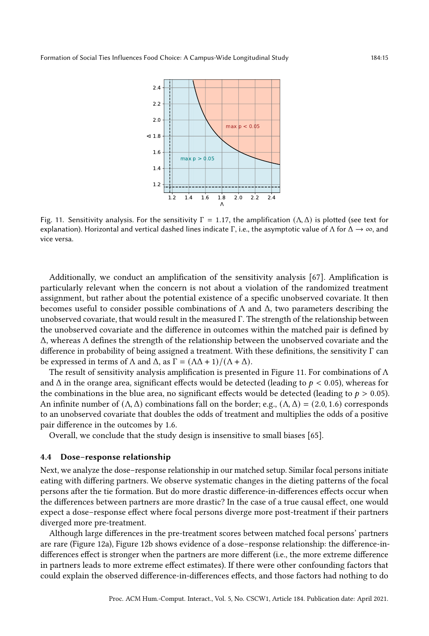<span id="page-14-0"></span>

Fig. 11. Sensitivity analysis. For the sensitivity  $\Gamma = 1.17$ , the amplification  $(Λ, Δ)$  is plotted (see text for explanation). Horizontal and vertical dashed lines indicate Γ, i.e., the asymptotic value of  $\Lambda$  for  $\Delta \to \infty$ , and vice versa.

Additionally, we conduct an amplification of the sensitivity analysis [\[67\]](#page-23-20). Amplification is particularly relevant when the concern is not about a violation of the randomized treatment assignment, but rather about the potential existence of a specific unobserved covariate. It then becomes useful to consider possible combinations of  $\Lambda$  and  $\Delta$ , two parameters describing the unobserved covariate, that would result in the measured Γ. The strength of the relationship between the unobserved covariate and the difference in outcomes within the matched pair is defined by Δ, whereas Λ defines the strength of the relationship between the unobserved covariate and the difference in probability of being assigned a treatment. With these definitions, the sensitivity Γ can be expressed in terms of  $\Lambda$  and  $\Delta$ , as  $\Gamma = (\Lambda \Delta + 1)/(\Lambda + \Delta)$ .

The result of sensitivity analysis amplification is presented in Figure [11.](#page-14-0) For combinations of  $\Lambda$ and  $\Delta$  in the orange area, significant effects would be detected (leading to  $p < 0.05$ ), whereas for the combinations in the blue area, no significant effects would be detected (leading to  $p > 0.05$ ). An infinite number of  $(\Lambda, \Delta)$  combinations fall on the border; e.g.,  $(\Lambda, \Delta) = (2.0, 1.6)$  corresponds to an unobserved covariate that doubles the odds of treatment and multiplies the odds of a positive pair difference in the outcomes by 1.6.

Overall, we conclude that the study design is insensitive to small biases [\[65\]](#page-23-21).

#### 4.4 Dose–response relationship

Next, we analyze the dose–response relationship in our matched setup. Similar focal persons initiate eating with differing partners. We observe systematic changes in the dieting patterns of the focal persons after the tie formation. But do more drastic difference-in-differences effects occur when the differences between partners are more drastic? In the case of a true causal effect, one would expect a dose–response effect where focal persons diverge more post-treatment if their partners diverged more pre-treatment.

Although large differences in the pre-treatment scores between matched focal persons' partners are rare (Figure [12a\)](#page-15-0), Figure [12b](#page-15-0) shows evidence of a dose–response relationship: the difference-indifferences effect is stronger when the partners are more different (i.e., the more extreme difference in partners leads to more extreme effect estimates). If there were other confounding factors that could explain the observed difference-in-differences effects, and those factors had nothing to do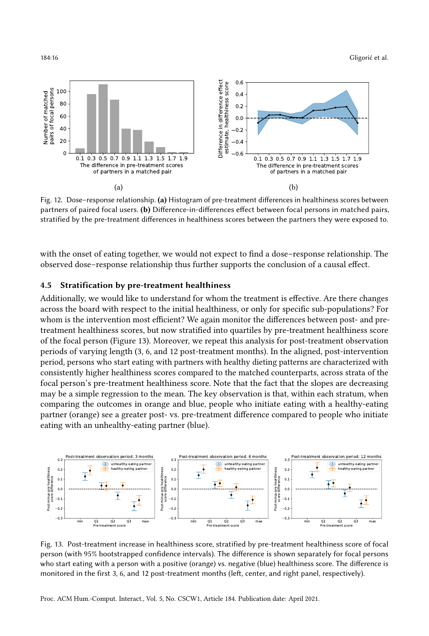<span id="page-15-0"></span>

Fig. 12. Dose–response relationship. (a) Histogram of pre-treatment differences in healthiness scores between partners of paired focal users. (b) Difference-in-differences effect between focal persons in matched pairs, stratified by the pre-treatment differences in healthiness scores between the partners they were exposed to.

with the onset of eating together, we would not expect to find a dose–response relationship. The observed dose–response relationship thus further supports the conclusion of a causal effect.

## 4.5 Stratification by pre-treatment healthiness

Additionally, we would like to understand for whom the treatment is effective. Are there changes across the board with respect to the initial healthiness, or only for specific sub-populations? For whom is the intervention most efficient? We again monitor the differences between post- and pretreatment healthiness scores, but now stratified into quartiles by pre-treatment healthiness score of the focal person (Figure [13\)](#page-15-1). Moreover, we repeat this analysis for post-treatment observation periods of varying length (3, 6, and 12 post-treatment months). In the aligned, post-intervention period, persons who start eating with partners with healthy dieting patterns are characterized with consistently higher healthiness scores compared to the matched counterparts, across strata of the focal person's pre-treatment healthiness score. Note that the fact that the slopes are decreasing may be a simple regression to the mean. The key observation is that, within each stratum, when comparing the outcomes in orange and blue, people who initiate eating with a healthy-eating partner (orange) see a greater post- vs. pre-treatment difference compared to people who initiate eating with an unhealthy-eating partner (blue).

<span id="page-15-1"></span>

Fig. 13. Post-treatment increase in healthiness score, stratified by pre-treatment healthiness score of focal person (with 95% bootstrapped confidence intervals). The difference is shown separately for focal persons who start eating with a person with a positive (orange) vs. negative (blue) healthiness score. The difference is monitored in the first 3, 6, and 12 post-treatment months (left, center, and right panel, respectively).

Proc. ACM Hum.-Comput. Interact., Vol. 5, No. CSCW1, Article 184. Publication date: April 2021.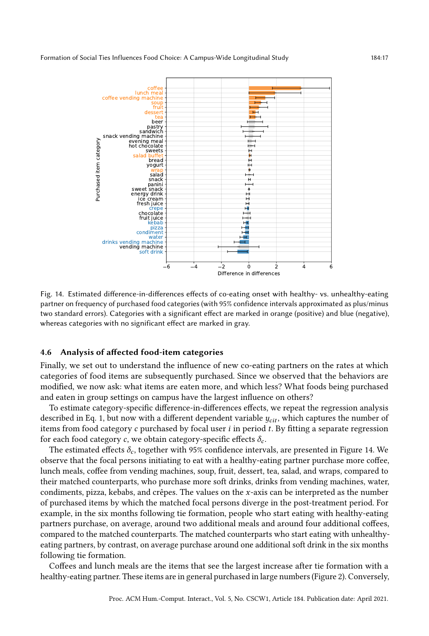<span id="page-16-0"></span>

Fig. 14. Estimated difference-in-differences effects of co-eating onset with healthy- vs. unhealthy-eating partner on frequency of purchased food categories (with 95% confidence intervals approximated as plus/minus two standard errors). Categories with a significant effect are marked in orange (positive) and blue (negative), whereas categories with no significant effect are marked in gray.

## 4.6 Analysis of affected food-item categories

Finally, we set out to understand the influence of new co-eating partners on the rates at which categories of food items are subsequently purchased. Since we observed that the behaviors are modified, we now ask: what items are eaten more, and which less? What foods being purchased and eaten in group settings on campus have the largest influence on others?

To estimate category-specific difference-in-differences effects, we repeat the regression analysis described in Eq. [1,](#page-12-1) but now with a different dependent variable  $y_{cit}$ , which captures the number of items from food category  $c$  purchased by focal user  $i$  in period  $t$ . By fitting a separate regression for each food category c, we obtain category-specific effects  $\delta_c$ .

The estimated effects  $\delta_c$ , together with 95% confidence intervals, are presented in Figure [14.](#page-16-0) We observe that the focal persons initiating to eat with a healthy-eating partner purchase more coffee, lunch meals, coffee from vending machines, soup, fruit, dessert, tea, salad, and wraps, compared to their matched counterparts, who purchase more soft drinks, drinks from vending machines, water, condiments, pizza, kebabs, and crêpes. The values on the  $x$ -axis can be interpreted as the number of purchased items by which the matched focal persons diverge in the post-treatment period. For example, in the six months following tie formation, people who start eating with healthy-eating partners purchase, on average, around two additional meals and around four additional coffees, compared to the matched counterparts. The matched counterparts who start eating with unhealthyeating partners, by contrast, on average purchase around one additional soft drink in the six months following tie formation.

Coffees and lunch meals are the items that see the largest increase after tie formation with a healthy-eating partner. These items are in general purchased in large numbers (Figure [2\)](#page-5-0). Conversely,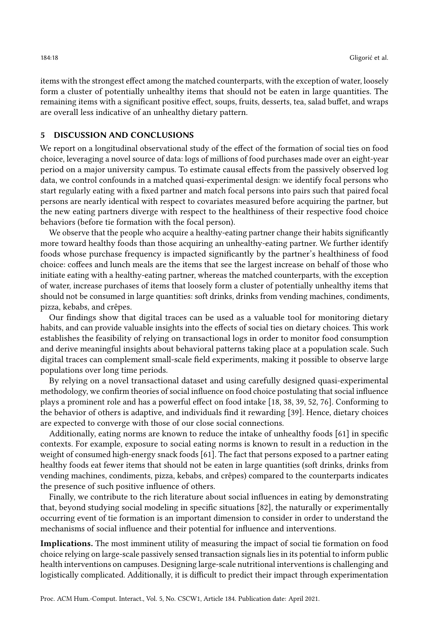items with the strongest effect among the matched counterparts, with the exception of water, loosely form a cluster of potentially unhealthy items that should not be eaten in large quantities. The remaining items with a significant positive effect, soups, fruits, desserts, tea, salad buffet, and wraps are overall less indicative of an unhealthy dietary pattern.

## 5 DISCUSSION AND CONCLUSIONS

We report on a longitudinal observational study of the effect of the formation of social ties on food choice, leveraging a novel source of data: logs of millions of food purchases made over an eight-year period on a major university campus. To estimate causal effects from the passively observed log data, we control confounds in a matched quasi-experimental design: we identify focal persons who start regularly eating with a fixed partner and match focal persons into pairs such that paired focal persons are nearly identical with respect to covariates measured before acquiring the partner, but the new eating partners diverge with respect to the healthiness of their respective food choice behaviors (before tie formation with the focal person).

We observe that the people who acquire a healthy-eating partner change their habits significantly more toward healthy foods than those acquiring an unhealthy-eating partner. We further identify foods whose purchase frequency is impacted significantly by the partner's healthiness of food choice: coffees and lunch meals are the items that see the largest increase on behalf of those who initiate eating with a healthy-eating partner, whereas the matched counterparts, with the exception of water, increase purchases of items that loosely form a cluster of potentially unhealthy items that should not be consumed in large quantities: soft drinks, drinks from vending machines, condiments, pizza, kebabs, and crêpes.

Our findings show that digital traces can be used as a valuable tool for monitoring dietary habits, and can provide valuable insights into the effects of social ties on dietary choices. This work establishes the feasibility of relying on transactional logs in order to monitor food consumption and derive meaningful insights about behavioral patterns taking place at a population scale. Such digital traces can complement small-scale field experiments, making it possible to observe large populations over long time periods.

By relying on a novel transactional dataset and using carefully designed quasi-experimental methodology, we confirm theories of social influence on food choice postulating that social influence plays a prominent role and has a powerful effect on food intake [\[18,](#page-21-2) [38,](#page-22-0) [39,](#page-22-1) [52,](#page-22-2) [76\]](#page-23-0). Conforming to the behavior of others is adaptive, and individuals find it rewarding [\[39\]](#page-22-1). Hence, dietary choices are expected to converge with those of our close social connections.

Additionally, eating norms are known to reduce the intake of unhealthy foods [\[61\]](#page-23-8) in specific contexts. For example, exposure to social eating norms is known to result in a reduction in the weight of consumed high-energy snack foods [\[61\]](#page-23-8). The fact that persons exposed to a partner eating healthy foods eat fewer items that should not be eaten in large quantities (soft drinks, drinks from vending machines, condiments, pizza, kebabs, and crêpes) compared to the counterparts indicates the presence of such positive influence of others.

Finally, we contribute to the rich literature about social influences in eating by demonstrating that, beyond studying social modeling in specific situations [\[82\]](#page-23-22), the naturally or experimentally occurring event of tie formation is an important dimension to consider in order to understand the mechanisms of social influence and their potential for influence and interventions.

Implications. The most imminent utility of measuring the impact of social tie formation on food choice relying on large-scale passively sensed transaction signals lies in its potential to inform public health interventions on campuses. Designing large-scale nutritional interventions is challenging and logistically complicated. Additionally, it is difficult to predict their impact through experimentation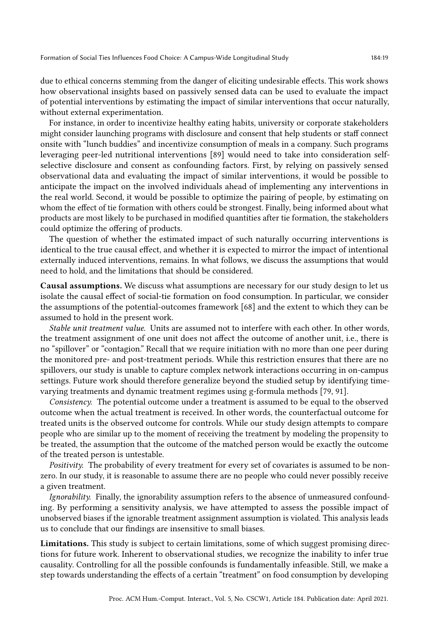due to ethical concerns stemming from the danger of eliciting undesirable effects. This work shows how observational insights based on passively sensed data can be used to evaluate the impact of potential interventions by estimating the impact of similar interventions that occur naturally, without external experimentation.

For instance, in order to incentivize healthy eating habits, university or corporate stakeholders might consider launching programs with disclosure and consent that help students or staff connect onsite with "lunch buddies" and incentivize consumption of meals in a company. Such programs leveraging peer-led nutritional interventions [\[89\]](#page-24-8) would need to take into consideration selfselective disclosure and consent as confounding factors. First, by relying on passively sensed observational data and evaluating the impact of similar interventions, it would be possible to anticipate the impact on the involved individuals ahead of implementing any interventions in the real world. Second, it would be possible to optimize the pairing of people, by estimating on whom the effect of tie formation with others could be strongest. Finally, being informed about what products are most likely to be purchased in modified quantities after tie formation, the stakeholders could optimize the offering of products.

The question of whether the estimated impact of such naturally occurring interventions is identical to the true causal effect, and whether it is expected to mirror the impact of intentional externally induced interventions, remains. In what follows, we discuss the assumptions that would need to hold, and the limitations that should be considered.

Causal assumptions. We discuss what assumptions are necessary for our study design to let us isolate the causal effect of social-tie formation on food consumption. In particular, we consider the assumptions of the potential-outcomes framework [\[68\]](#page-23-23) and the extent to which they can be assumed to hold in the present work.

Stable unit treatment value. Units are assumed not to interfere with each other. In other words, the treatment assignment of one unit does not affect the outcome of another unit, i.e., there is no "spillover" or "contagion." Recall that we require initiation with no more than one peer during the monitored pre- and post-treatment periods. While this restriction ensures that there are no spillovers, our study is unable to capture complex network interactions occurring in on-campus settings. Future work should therefore generalize beyond the studied setup by identifying timevarying treatments and dynamic treatment regimes using g-formula methods [\[79,](#page-23-24) [91\]](#page-24-9).

Consistency. The potential outcome under a treatment is assumed to be equal to the observed outcome when the actual treatment is received. In other words, the counterfactual outcome for treated units is the observed outcome for controls. While our study design attempts to compare people who are similar up to the moment of receiving the treatment by modeling the propensity to be treated, the assumption that the outcome of the matched person would be exactly the outcome of the treated person is untestable.

Positivity. The probability of every treatment for every set of covariates is assumed to be nonzero. In our study, it is reasonable to assume there are no people who could never possibly receive a given treatment.

Ignorability. Finally, the ignorability assumption refers to the absence of unmeasured confounding. By performing a sensitivity analysis, we have attempted to assess the possible impact of unobserved biases if the ignorable treatment assignment assumption is violated. This analysis leads us to conclude that our findings are insensitive to small biases.

Limitations. This study is subject to certain limitations, some of which suggest promising directions for future work. Inherent to observational studies, we recognize the inability to infer true causality. Controlling for all the possible confounds is fundamentally infeasible. Still, we make a step towards understanding the effects of a certain "treatment" on food consumption by developing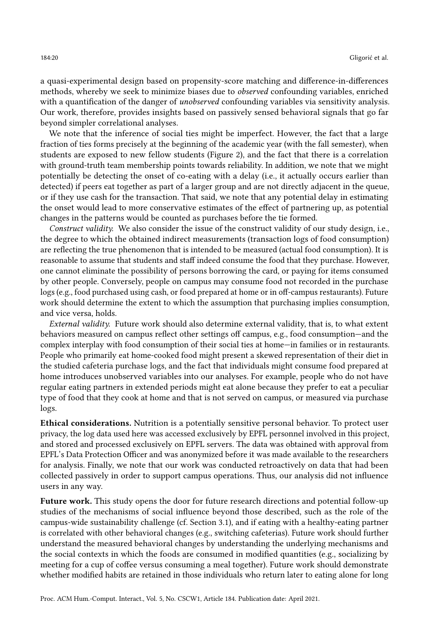a quasi-experimental design based on propensity-score matching and difference-in-differences methods, whereby we seek to minimize biases due to observed confounding variables, enriched with a quantification of the danger of *unobserved* confounding variables via sensitivity analysis. Our work, therefore, provides insights based on passively sensed behavioral signals that go far beyond simpler correlational analyses.

We note that the inference of social ties might be imperfect. However, the fact that a large fraction of ties forms precisely at the beginning of the academic year (with the fall semester), when students are exposed to new fellow students (Figure [2\)](#page-5-0), and the fact that there is a correlation with ground-truth team membership points towards reliability. In addition, we note that we might potentially be detecting the onset of co-eating with a delay (i.e., it actually occurs earlier than detected) if peers eat together as part of a larger group and are not directly adjacent in the queue, or if they use cash for the transaction. That said, we note that any potential delay in estimating the onset would lead to more conservative estimates of the effect of partnering up, as potential changes in the patterns would be counted as purchases before the tie formed.

Construct validity. We also consider the issue of the construct validity of our study design, i.e., the degree to which the obtained indirect measurements (transaction logs of food consumption) are reflecting the true phenomenon that is intended to be measured (actual food consumption). It is reasonable to assume that students and staff indeed consume the food that they purchase. However, one cannot eliminate the possibility of persons borrowing the card, or paying for items consumed by other people. Conversely, people on campus may consume food not recorded in the purchase logs (e.g., food purchased using cash, or food prepared at home or in off-campus restaurants). Future work should determine the extent to which the assumption that purchasing implies consumption, and vice versa, holds.

External validity. Future work should also determine external validity, that is, to what extent behaviors measured on campus reflect other settings off campus, e.g., food consumption—and the complex interplay with food consumption of their social ties at home—in families or in restaurants. People who primarily eat home-cooked food might present a skewed representation of their diet in the studied cafeteria purchase logs, and the fact that individuals might consume food prepared at home introduces unobserved variables into our analyses. For example, people who do not have regular eating partners in extended periods might eat alone because they prefer to eat a peculiar type of food that they cook at home and that is not served on campus, or measured via purchase logs.

Ethical considerations. Nutrition is a potentially sensitive personal behavior. To protect user privacy, the log data used here was accessed exclusively by EPFL personnel involved in this project, and stored and processed exclusively on EPFL servers. The data was obtained with approval from EPFL's Data Protection Officer and was anonymized before it was made available to the researchers for analysis. Finally, we note that our work was conducted retroactively on data that had been collected passively in order to support campus operations. Thus, our analysis did not influence users in any way.

Future work. This study opens the door for future research directions and potential follow-up studies of the mechanisms of social influence beyond those described, such as the role of the campus-wide sustainability challenge (cf. Section [3.1\)](#page-4-1), and if eating with a healthy-eating partner is correlated with other behavioral changes (e.g., switching cafeterias). Future work should further understand the measured behavioral changes by understanding the underlying mechanisms and the social contexts in which the foods are consumed in modified quantities (e.g., socializing by meeting for a cup of coffee versus consuming a meal together). Future work should demonstrate whether modified habits are retained in those individuals who return later to eating alone for long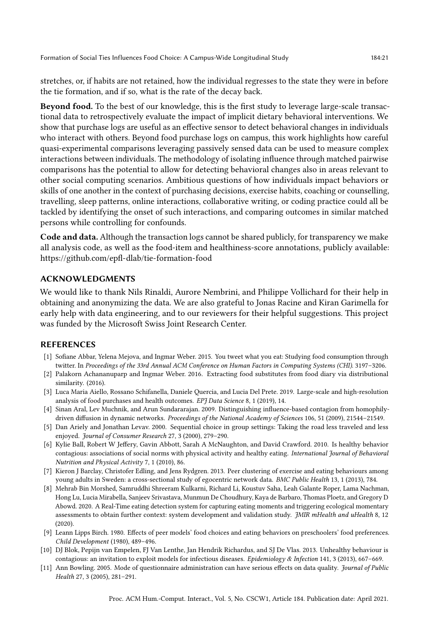stretches, or, if habits are not retained, how the individual regresses to the state they were in before the tie formation, and if so, what is the rate of the decay back.

Beyond food. To the best of our knowledge, this is the first study to leverage large-scale transactional data to retrospectively evaluate the impact of implicit dietary behavioral interventions. We show that purchase logs are useful as an effective sensor to detect behavioral changes in individuals who interact with others. Beyond food purchase logs on campus, this work highlights how careful quasi-experimental comparisons leveraging passively sensed data can be used to measure complex interactions between individuals. The methodology of isolating influence through matched pairwise comparisons has the potential to allow for detecting behavioral changes also in areas relevant to other social computing scenarios. Ambitious questions of how individuals impact behaviors or skills of one another in the context of purchasing decisions, exercise habits, coaching or counselling, travelling, sleep patterns, online interactions, collaborative writing, or coding practice could all be tackled by identifying the onset of such interactions, and comparing outcomes in similar matched persons while controlling for confounds.

Code and data. Although the transaction logs cannot be shared publicly, for transparency we make all analysis code, as well as the food-item and healthiness-score annotations, publicly available: <https://github.com/epfl-dlab/tie-formation-food>

## ACKNOWLEDGMENTS

We would like to thank Nils Rinaldi, Aurore Nembrini, and Philippe Vollichard for their help in obtaining and anonymizing the data. We are also grateful to Jonas Racine and Kiran Garimella for early help with data engineering, and to our reviewers for their helpful suggestions. This project was funded by the Microsoft Swiss Joint Research Center.

## **REFERENCES**

- <span id="page-20-2"></span>[1] Sofiane Abbar, Yelena Mejova, and Ingmar Weber. 2015. You tweet what you eat: Studying food consumption through twitter. In Proceedings of the 33rd Annual ACM Conference on Human Factors in Computing Systems (CHI). 3197–3206.
- <span id="page-20-8"></span>[2] Palakorn Achananuparp and Ingmar Weber. 2016. Extracting food substitutes from food diary via distributional similarity. (2016).
- <span id="page-20-7"></span>[3] Luca Maria Aiello, Rossano Schifanella, Daniele Quercia, and Lucia Del Prete. 2019. Large-scale and high-resolution analysis of food purchases and health outcomes. EPJ Data Science 8, 1 (2019), 14.
- <span id="page-20-1"></span>[4] Sinan Aral, Lev Muchnik, and Arun Sundararajan. 2009. Distinguishing influence-based contagion from homophilydriven diffusion in dynamic networks. Proceedings of the National Academy of Sciences 106, 51 (2009), 21544-21549.
- <span id="page-20-3"></span>[5] Dan Ariely and Jonathan Levav. 2000. Sequential choice in group settings: Taking the road less traveled and less enjoyed. Journal of Consumer Research 27, 3 (2000), 279–290.
- <span id="page-20-5"></span>[6] Kylie Ball, Robert W Jeffery, Gavin Abbott, Sarah A McNaughton, and David Crawford. 2010. Is healthy behavior contagious: associations of social norms with physical activity and healthy eating. International Journal of Behavioral Nutrition and Physical Activity 7, 1 (2010), 86.
- <span id="page-20-10"></span>[7] Kieron J Barclay, Christofer Edling, and Jens Rydgren. 2013. Peer clustering of exercise and eating behaviours among young adults in Sweden: a cross-sectional study of egocentric network data. BMC Public Health 13, 1 (2013), 784.
- <span id="page-20-9"></span>[8] Mehrab Bin Morshed, Samruddhi Shreeram Kulkarni, Richard Li, Koustuv Saha, Leah Galante Roper, Lama Nachman, Hong Lu, Lucia Mirabella, Sanjeev Srivastava, Munmun De Choudhury, Kaya de Barbaro, Thomas Ploetz, and Gregory D Abowd. 2020. A Real-Time eating detection system for capturing eating moments and triggering ecological momentary assessments to obtain further context: system development and validation study. JMIR mHealth and uHealth 8, 12 (2020).
- <span id="page-20-4"></span>[9] Leann Lipps Birch. 1980. Effects of peer models' food choices and eating behaviors on preschoolers' food preferences. Child Development (1980), 489–496.
- <span id="page-20-6"></span>[10] DJ Blok, Pepijn van Empelen, FJ Van Lenthe, Jan Hendrik Richardus, and SJ De Vlas. 2013. Unhealthy behaviour is contagious: an invitation to exploit models for infectious diseases. Epidemiology & Infection 141, 3 (2013), 667-669.
- <span id="page-20-0"></span>[11] Ann Bowling. 2005. Mode of questionnaire administration can have serious effects on data quality. Journal of Public Health 27, 3 (2005), 281–291.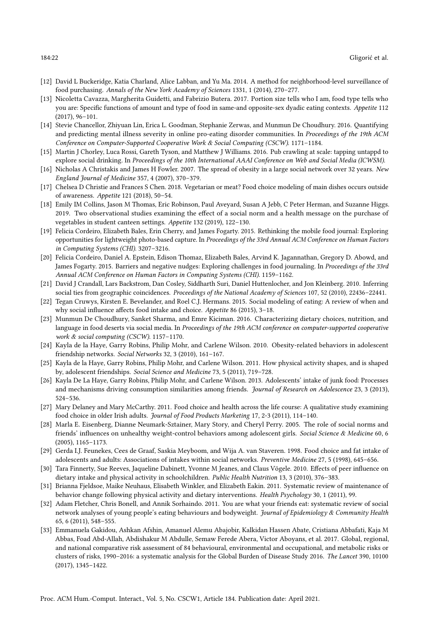- <span id="page-21-19"></span>[12] David L Buckeridge, Katia Charland, Alice Labban, and Yu Ma. 2014. A method for neighborhood-level surveillance of food purchasing. Annals of the New York Academy of Sciences 1331, 1 (2014), 270–277.
- <span id="page-21-10"></span>[13] Nicoletta Cavazza, Margherita Guidetti, and Fabrizio Butera. 2017. Portion size tells who I am, food type tells who you are: Specific functions of amount and type of food in same-and opposite-sex dyadic eating contexts. Appetite 112 (2017), 96–101.
- <span id="page-21-7"></span>[14] Stevie Chancellor, Zhiyuan Lin, Erica L. Goodman, Stephanie Zerwas, and Munmun De Choudhury. 2016. Quantifying and predicting mental illness severity in online pro-eating disorder communities. In Proceedings of the 19th ACM Conference on Computer-Supported Cooperative Work & Social Computing (CSCW). 1171–1184.
- <span id="page-21-20"></span>[15] Martin J Chorley, Luca Rossi, Gareth Tyson, and Matthew J Williams. 2016. Pub crawling at scale: tapping untappd to explore social drinking. In Proceedings of the 10th International AAAI Conference on Web and Social Media (ICWSM).
- <span id="page-21-3"></span>[16] Nicholas A Christakis and James H Fowler. 2007. The spread of obesity in a large social network over 32 years. New England Journal of Medicine 357, 4 (2007), 370–379.
- <span id="page-21-8"></span>[17] Chelsea D Christie and Frances S Chen. 2018. Vegetarian or meat? Food choice modeling of main dishes occurs outside of awareness. Appetite 121 (2018), 50–54.
- <span id="page-21-2"></span>[18] Emily IM Collins, Jason M Thomas, Eric Robinson, Paul Aveyard, Susan A Jebb, C Peter Herman, and Suzanne Higgs. 2019. Two observational studies examining the effect of a social norm and a health message on the purchase of vegetables in student canteen settings. Appetite 132 (2019), 122–130.
- <span id="page-21-4"></span>[19] Felicia Cordeiro, Elizabeth Bales, Erin Cherry, and James Fogarty. 2015. Rethinking the mobile food journal: Exploring opportunities for lightweight photo-based capture. In Proceedings of the 33rd Annual ACM Conference on Human Factors in Computing Systems (CHI). 3207–3216.
- <span id="page-21-5"></span>[20] Felicia Cordeiro, Daniel A. Epstein, Edison Thomaz, Elizabeth Bales, Arvind K. Jagannathan, Gregory D. Abowd, and James Fogarty. 2015. Barriers and negative nudges: Exploring challenges in food journaling. In Proceedings of the 33rd Annual ACM Conference on Human Factors in Computing Systems (CHI). 1159–1162.
- <span id="page-21-21"></span>[21] David J Crandall, Lars Backstrom, Dan Cosley, Siddharth Suri, Daniel Huttenlocher, and Jon Kleinberg. 2010. Inferring social ties from geographic coincidences. Proceedings of the National Academy of Sciences 107, 52 (2010), 22436-22441.
- <span id="page-21-15"></span>[22] Tegan Cruwys, Kirsten E. Bevelander, and Roel C.J. Hermans. 2015. Social modeling of eating: A review of when and why social influence affects food intake and choice. Appetite 86 (2015), 3-18.
- <span id="page-21-18"></span>[23] Munmun De Choudhury, Sanket Sharma, and Emre Kiciman. 2016. Characterizing dietary choices, nutrition, and language in food deserts via social media. In Proceedings of the 19th ACM conference on computer-supported cooperative work & social computing (CSCW). 1157–1170.
- <span id="page-21-11"></span>[24] Kayla de la Haye, Garry Robins, Philip Mohr, and Carlene Wilson. 2010. Obesity-related behaviors in adolescent friendship networks. Social Networks 32, 3 (2010), 161–167.
- <span id="page-21-12"></span>[25] Kayla de la Haye, Garry Robins, Philip Mohr, and Carlene Wilson. 2011. How physical activity shapes, and is shaped by, adolescent friendships. Social Science and Medicine 73, 5 (2011), 719–728.
- <span id="page-21-9"></span>[26] Kayla De La Haye, Garry Robins, Philip Mohr, and Carlene Wilson. 2013. Adolescents' intake of junk food: Processes and mechanisms driving consumption similarities among friends. Journal of Research on Adolescence 23, 3 (2013), 524–536.
- <span id="page-21-0"></span>[27] Mary Delaney and Mary McCarthy. 2011. Food choice and health across the life course: A qualitative study examining food choice in older Irish adults. Journal of Food Products Marketing 17, 2-3 (2011), 114–140.
- <span id="page-21-16"></span>[28] Marla E. Eisenberg, Dianne Neumark-Sztainer, Mary Story, and Cheryl Perry. 2005. The role of social norms and friends' influences on unhealthy weight-control behaviors among adolescent girls. Social Science & Medicine 60, 6 (2005), 1165–1173.
- <span id="page-21-14"></span>[29] Gerda I.J. Feunekes, Cees de Graaf, Saskia Meyboom, and Wija A. van Staveren. 1998. Food choice and fat intake of adolescents and adults: Associations of intakes within social networks. Preventive Medicine 27, 5 (1998), 645–656.
- <span id="page-21-6"></span>[30] Tara Finnerty, Sue Reeves, Jaqueline Dabinett, Yvonne M Jeanes, and Claus Vögele. 2010. Effects of peer influence on dietary intake and physical activity in schoolchildren. Public Health Nutrition 13, 3 (2010), 376–383.
- <span id="page-21-17"></span>[31] Brianna Fjeldsoe, Maike Neuhaus, Elisabeth Winkler, and Elizabeth Eakin. 2011. Systematic review of maintenance of behavior change following physical activity and dietary interventions. Health Psychology 30, 1 (2011), 99.
- <span id="page-21-13"></span>[32] Adam Fletcher, Chris Bonell, and Annik Sorhaindo. 2011. You are what your friends eat: systematic review of social network analyses of young people's eating behaviours and bodyweight. Journal of Epidemiology & Community Health 65, 6 (2011), 548–555.
- <span id="page-21-1"></span>[33] Emmanuela Gakidou, Ashkan Afshin, Amanuel Alemu Abajobir, Kalkidan Hassen Abate, Cristiana Abbafati, Kaja M Abbas, Foad Abd-Allah, Abdishakur M Abdulle, Semaw Ferede Abera, Victor Aboyans, et al. 2017. Global, regional, and national comparative risk assessment of 84 behavioural, environmental and occupational, and metabolic risks or clusters of risks, 1990–2016: a systematic analysis for the Global Burden of Disease Study 2016. The Lancet 390, 10100 (2017), 1345–1422.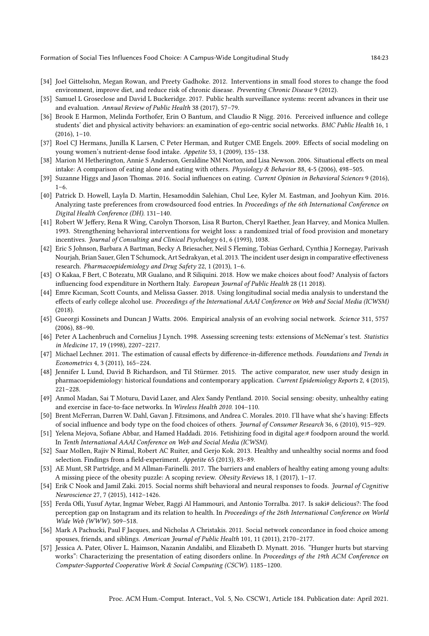Formation of Social Ties Influences Food Choice: A Campus-Wide Longitudinal Study 184:23

- <span id="page-22-13"></span>[34] Joel Gittelsohn, Megan Rowan, and Preety Gadhoke. 2012. Interventions in small food stores to change the food environment, improve diet, and reduce risk of chronic disease. Preventing Chronic Disease 9 (2012).
- <span id="page-22-14"></span>[35] Samuel L Groseclose and David L Buckeridge. 2017. Public health surveillance systems: recent advances in their use and evaluation. Annual Review of Public Health 38 (2017), 57–79.
- <span id="page-22-3"></span>[36] Brook E Harmon, Melinda Forthofer, Erin O Bantum, and Claudio R Nigg. 2016. Perceived influence and college students' diet and physical activity behaviors: an examination of ego-centric social networks. BMC Public Health 16, 1 (2016), 1–10.
- <span id="page-22-10"></span>[37] Roel CJ Hermans, Junilla K Larsen, C Peter Herman, and Rutger CME Engels. 2009. Effects of social modeling on young women's nutrient-dense food intake. Appetite 53, 1 (2009), 135–138.
- <span id="page-22-0"></span>[38] Marion M Hetherington, Annie S Anderson, Geraldine NM Norton, and Lisa Newson. 2006. Situational effects on meal intake: A comparison of eating alone and eating with others. *Physiology & Behavior* 88, 4-5 (2006), 498–505.
- <span id="page-22-1"></span>[39] Suzanne Higgs and Jason Thomas. 2016. Social influences on eating. Current Opinion in Behavioral Sciences 9 (2016),  $1 - 6$ .
- <span id="page-22-17"></span>[40] Patrick D. Howell, Layla D. Martin, Hesamoddin Salehian, Chul Lee, Kyler M. Eastman, and Joohyun Kim. 2016. Analyzing taste preferences from crowdsourced food entries. In Proceedings of the 6th International Conference on Digital Health Conference (DH). 131–140.
- <span id="page-22-12"></span>[41] Robert W Jeffery, Rena R Wing, Carolyn Thorson, Lisa R Burton, Cheryl Raether, Jean Harvey, and Monica Mullen. 1993. Strengthening behavioral interventions for weight loss: a randomized trial of food provision and monetary incentives. Journal of Consulting and Clinical Psychology 61, 6 (1993), 1038.
- <span id="page-22-19"></span>[42] Eric S Johnson, Barbara A Bartman, Becky A Briesacher, Neil S Fleming, Tobias Gerhard, Cynthia J Kornegay, Parivash Nourjah, Brian Sauer, Glen T Schumock, Art Sedrakyan, et al. 2013. The incident user design in comparative effectiveness research. Pharmacoepidemiology and Drug Safety 22, 1 (2013), 1–6.
- <span id="page-22-8"></span>[43] O Kakaa, F Bert, C Botezatu, MR Gualano, and R Siliquini. 2018. How we make choices about food? Analysis of factors influencing food expenditure in Northern Italy. European Journal of Public Health 28 (11 2018).
- <span id="page-22-21"></span>[44] Emre Kıcıman, Scott Counts, and Melissa Gasser. 2018. Using longitudinal social media analysis to understand the effects of early college alcohol use. Proceedings of the International AAAI Conference on Web and Social Media (ICWSM) (2018).
- <span id="page-22-5"></span>[45] Gueorgi Kossinets and Duncan J Watts. 2006. Empirical analysis of an evolving social network. Science 311, 5757 (2006), 88–90.
- <span id="page-22-22"></span>[46] Peter A Lachenbruch and Cornelius J Lynch. 1998. Assessing screening tests: extensions of McNemar's test. Statistics in Medicine 17, 19 (1998), 2207–2217.
- <span id="page-22-23"></span>[47] Michael Lechner. 2011. The estimation of causal effects by difference-in-difference methods. Foundations and Trends in Econometrics 4, 3 (2011), 165–224.
- <span id="page-22-20"></span>[48] Jennifer L Lund, David B Richardson, and Til Stürmer. 2015. The active comparator, new user study design in pharmacoepidemiology: historical foundations and contemporary application. Current Epidemiology Reports 2, 4 (2015), 221–228.
- <span id="page-22-4"></span>[49] Anmol Madan, Sai T Moturu, David Lazer, and Alex Sandy Pentland. 2010. Social sensing: obesity, unhealthy eating and exercise in face-to-face networks. In Wireless Health 2010. 104–110.
- <span id="page-22-9"></span>[50] Brent McFerran, Darren W. Dahl, Gavan J. Fitzsimons, and Andrea C. Morales. 2010. I'll have what she's having: Effects of social influence and body type on the food choices of others. Journal of Consumer Research 36, 6 (2010), 915–929.
- <span id="page-22-15"></span>[51] Yelena Mejova, Sofiane Abbar, and Hamed Haddadi. 2016. Fetishizing food in digital age:# foodporn around the world. In Tenth International AAAI Conference on Web and Social Media (ICWSM).
- <span id="page-22-2"></span>[52] Saar Mollen, Rajiv N Rimal, Robert AC Ruiter, and Gerjo Kok. 2013. Healthy and unhealthy social norms and food selection. Findings from a field-experiment. Appetite 65 (2013), 83–89.
- <span id="page-22-7"></span>[53] AE Munt, SR Partridge, and M Allman-Farinelli. 2017. The barriers and enablers of healthy eating among young adults: A missing piece of the obesity puzzle: A scoping review. Obesity Reviews 18, 1 (2017), 1–17.
- <span id="page-22-18"></span>[54] Erik C Nook and Jamil Zaki. 2015. Social norms shift behavioral and neural responses to foods. Journal of Cognitive Neuroscience 27, 7 (2015), 1412–1426.
- <span id="page-22-16"></span>[55] Ferda Ofli, Yusuf Aytar, Ingmar Weber, Raggi Al Hammouri, and Antonio Torralba. 2017. Is saki# delicious?: The food perception gap on Instagram and its relation to health. In Proceedings of the 26th International Conference on World Wide Web (WWW). 509–518.
- <span id="page-22-11"></span>[56] Mark A Pachucki, Paul F Jacques, and Nicholas A Christakis. 2011. Social network concordance in food choice among spouses, friends, and siblings. American Journal of Public Health 101, 11 (2011), 2170–2177.
- <span id="page-22-6"></span>[57] Jessica A. Pater, Oliver L. Haimson, Nazanin Andalibi, and Elizabeth D. Mynatt. 2016. "Hunger hurts but starving works": Characterizing the presentation of eating disorders online. In Proceedings of the 19th ACM Conference on Computer-Supported Cooperative Work & Social Computing (CSCW). 1185–1200.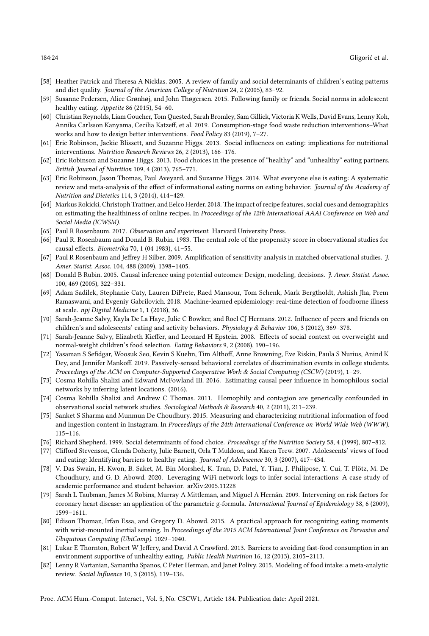- <span id="page-23-3"></span>[58] Heather Patrick and Theresa A Nicklas. 2005. A review of family and social determinants of children's eating patterns and diet quality. Journal of the American College of Nutrition 24, 2 (2005), 83–92.
- <span id="page-23-10"></span>[59] Susanne Pedersen, Alice Grønhøj, and John Thøgersen. 2015. Following family or friends. Social norms in adolescent healthy eating. Appetite 86 (2015), 54-60.
- <span id="page-23-12"></span>[60] Christian Reynolds, Liam Goucher, Tom Quested, Sarah Bromley, Sam Gillick, Victoria K Wells, David Evans, Lenny Koh, Annika Carlsson Kanyama, Cecilia Katzeff, et al. 2019. Consumption-stage food waste reduction interventions–What works and how to design better interventions. Food Policy 83 (2019), 7–27.
- <span id="page-23-8"></span>[61] Eric Robinson, Jackie Blissett, and Suzanne Higgs. 2013. Social influences on eating: implications for nutritional interventions. Nutrition Research Reviews 26, 2 (2013), 166–176.
- <span id="page-23-1"></span>[62] Eric Robinson and Suzanne Higgs. 2013. Food choices in the presence of "healthy" and "unhealthy" eating partners. British Journal of Nutrition 109, 4 (2013), 765–771.
- <span id="page-23-2"></span>[63] Eric Robinson, Jason Thomas, Paul Aveyard, and Suzanne Higgs. 2014. What everyone else is eating: A systematic review and meta-analysis of the effect of informational eating norms on eating behavior. Journal of the Academy of Nutrition and Dietetics 114, 3 (2014), 414–429.
- <span id="page-23-14"></span>[64] Markus Rokicki, Christoph Trattner, and Eelco Herder. 2018. The impact of recipe features, social cues and demographics on estimating the healthiness of online recipes. In Proceedings of the 12th International AAAI Conference on Web and Social Media (ICWSM).
- <span id="page-23-21"></span>[65] Paul R Rosenbaum. 2017. Observation and experiment. Harvard University Press.
- <span id="page-23-19"></span>[66] Paul R. Rosenbaum and Donald B. Rubin. 1983. The central role of the propensity score in observational studies for causal effects. Biometrika 70, 1 (04 1983), 41–55.
- <span id="page-23-20"></span>[67] Paul R Rosenbaum and Jeffrey H Silber. 2009. Amplification of sensitivity analysis in matched observational studies. J. Amer. Statist. Assoc. 104, 488 (2009), 1398–1405.
- <span id="page-23-23"></span>[68] Donald B Rubin. 2005. Causal inference using potential outcomes: Design, modeling, decisions. J. Amer. Statist. Assoc. 100, 469 (2005), 322–331.
- <span id="page-23-16"></span>[69] Adam Sadilek, Stephanie Caty, Lauren DiPrete, Raed Mansour, Tom Schenk, Mark Bergtholdt, Ashish Jha, Prem Ramaswami, and Evgeniy Gabrilovich. 2018. Machine-learned epidemiology: real-time detection of foodborne illness at scale. npj Digital Medicine 1, 1 (2018), 36.
- <span id="page-23-9"></span>[70] Sarah-Jeanne Salvy, Kayla De La Haye, Julie C Bowker, and Roel CJ Hermans. 2012. Influence of peers and friends on children's and adolescents' eating and activity behaviors. Physiology & Behavior 106, 3 (2012), 369-378.
- <span id="page-23-4"></span>[71] Sarah-Jeanne Salvy, Elizabeth Kieffer, and Leonard H Epstein. 2008. Effects of social context on overweight and normal-weight children's food selection. Eating Behaviors 9, 2 (2008), 190–196.
- <span id="page-23-17"></span>[72] Yasaman S Sefidgar, Woosuk Seo, Kevin S Kuehn, Tim Althoff, Anne Browning, Eve Riskin, Paula S Nurius, Anind K Dey, and Jennifer Mankoff. 2019. Passively-sensed behavioral correlates of discrimination events in college students. Proceedings of the ACM on Computer-Supported Cooperative Work & Social Computing (CSCW) (2019), 1–29.
- <span id="page-23-6"></span>[73] Cosma Rohilla Shalizi and Edward McFowland III. 2016. Estimating causal peer influence in homophilous social networks by inferring latent locations. (2016).
- <span id="page-23-7"></span>[74] Cosma Rohilla Shalizi and Andrew C Thomas. 2011. Homophily and contagion are generically confounded in observational social network studies. Sociological Methods & Research 40, 2 (2011), 211–239.
- <span id="page-23-15"></span>[75] Sanket S Sharma and Munmun De Choudhury. 2015. Measuring and characterizing nutritional information of food and ingestion content in Instagram. In Proceedings of the 24th International Conference on World Wide Web (WWW). 115–116.
- <span id="page-23-0"></span>[76] Richard Shepherd. 1999. Social determinants of food choice. Proceedings of the Nutrition Society 58, 4 (1999), 807–812.
- <span id="page-23-5"></span>[77] Clifford Stevenson, Glenda Doherty, Julie Barnett, Orla T Muldoon, and Karen Trew. 2007. Adolescents' views of food and eating: Identifying barriers to healthy eating. Journal of Adolescence 30, 3 (2007), 417–434.
- <span id="page-23-18"></span>[78] V. Das Swain, H. Kwon, B. Saket, M. Bin Morshed, K. Tran, D. Patel, Y. Tian, J. Philipose, Y. Cui, T. Plötz, M. De Choudhury, and G. D. Abowd. 2020. Leveraging WiFi network logs to infer social interactions: A case study of academic performance and student behavior. arXiv[:2005.11228](https://arxiv.org/abs/2005.11228)
- <span id="page-23-24"></span>[79] Sarah L Taubman, James M Robins, Murray A Mittleman, and Miguel A Hernán. 2009. Intervening on risk factors for coronary heart disease: an application of the parametric g-formula. International Journal of Epidemiology 38, 6 (2009), 1599–1611.
- <span id="page-23-13"></span>[80] Edison Thomaz, Irfan Essa, and Gregory D. Abowd. 2015. A practical approach for recognizing eating moments with wrist-mounted inertial sensing. In Proceedings of the 2015 ACM International Joint Conference on Pervasive and Ubiquitous Computing (UbiComp). 1029–1040.
- <span id="page-23-11"></span>[81] Lukar E Thornton, Robert W Jeffery, and David A Crawford. 2013. Barriers to avoiding fast-food consumption in an environment supportive of unhealthy eating. Public Health Nutrition 16, 12 (2013), 2105–2113.
- <span id="page-23-22"></span>[82] Lenny R Vartanian, Samantha Spanos, C Peter Herman, and Janet Polivy. 2015. Modeling of food intake: a meta-analytic review. Social Influence 10, 3 (2015), 119–136.

Proc. ACM Hum.-Comput. Interact., Vol. 5, No. CSCW1, Article 184. Publication date: April 2021.